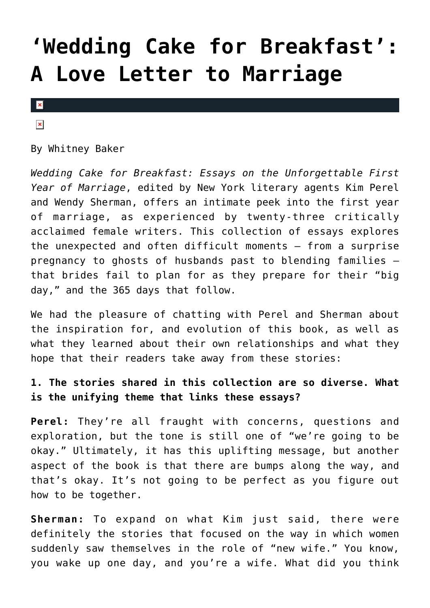## **['Wedding Cake for Breakfast':](https://cupidspulse.com/31385/wedding-cake-for-breakfast-love-letter-to-marriage-newlywed-author-interview-advice/) [A Love Letter to Marriage](https://cupidspulse.com/31385/wedding-cake-for-breakfast-love-letter-to-marriage-newlywed-author-interview-advice/)**

 $\pmb{\times}$ 

 $\pmb{\times}$ 

By Whitney Baker

*Wedding Cake for Breakfast: Essays on the Unforgettable First Year of Marriage*, edited by New York literary agents Kim Perel and Wendy Sherman, offers an intimate peek into the first year of marriage, as experienced by twenty-three critically acclaimed female writers. This collection of essays explores the unexpected and often difficult moments — from a surprise pregnancy to ghosts of husbands past to blending families that brides fail to plan for as they prepare for their "big day," and the 365 days that follow.

We had the pleasure of chatting with Perel and Sherman about the inspiration for, and evolution of this book, as well as what they learned about their own relationships and what they hope that their readers take away from these stories:

## **1. The stories shared in this collection are so diverse. What is the unifying theme that links these essays?**

**Perel:** They're all fraught with concerns, questions and exploration, but the tone is still one of "we're going to be okay." Ultimately, it has this uplifting message, but another aspect of the book is that there are bumps along the way, and that's okay. It's not going to be perfect as you figure out how to be together.

**Sherman:** To expand on what Kim just said, there were definitely the stories that focused on the way in which women suddenly saw themselves in the role of "new wife." You know, you wake up one day, and you're a wife. What did you think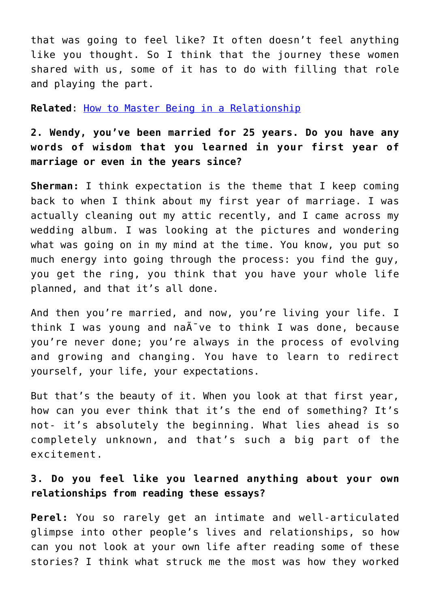that was going to feel like? It often doesn't feel anything like you thought. So I think that the journey these women shared with us, some of it has to do with filling that role and playing the part.

**Related**: [How to Master Being in a Relationship](http://cupidspulse.com/how-master-being-relationship-nan-obrien-guest-emotionally-available-dating-advice/)

**2. Wendy, you've been married for 25 years. Do you have any words of wisdom that you learned in your first year of marriage or even in the years since?**

**Sherman:** I think expectation is the theme that I keep coming back to when I think about my first year of marriage. I was actually cleaning out my attic recently, and I came across my wedding album. I was looking at the pictures and wondering what was going on in my mind at the time. You know, you put so much energy into going through the process: you find the guy, you get the ring, you think that you have your whole life planned, and that it's all done.

And then you're married, and now, you're living your life. I think I was young and na $\tilde{A}$  ve to think I was done, because you're never done; you're always in the process of evolving and growing and changing. You have to learn to redirect yourself, your life, your expectations.

But that's the beauty of it. When you look at that first year, how can you ever think that it's the end of something? It's not- it's absolutely the beginning. What lies ahead is so completely unknown, and that's such a big part of the excitement.

## **3. Do you feel like you learned anything about your own relationships from reading these essays?**

**Perel:** You so rarely get an intimate and well-articulated glimpse into other people's lives and relationships, so how can you not look at your own life after reading some of these stories? I think what struck me the most was how they worked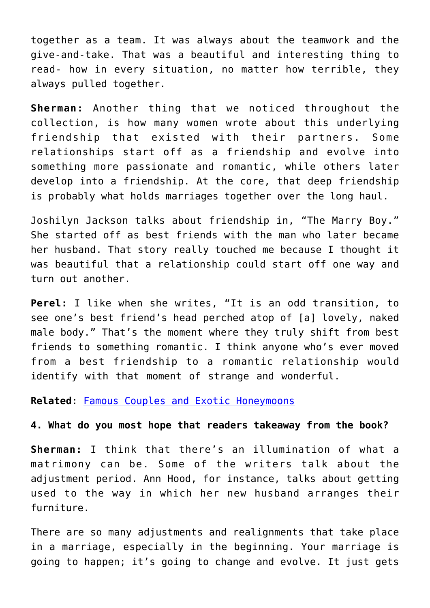together as a team. It was always about the teamwork and the give-and-take. That was a beautiful and interesting thing to read- how in every situation, no matter how terrible, they always pulled together.

**Sherman:** Another thing that we noticed throughout the collection, is how many women wrote about this underlying friendship that existed with their partners. Some relationships start off as a friendship and evolve into something more passionate and romantic, while others later develop into a friendship. At the core, that deep friendship is probably what holds marriages together over the long haul.

Joshilyn Jackson talks about friendship in, "The Marry Boy." She started off as best friends with the man who later became her husband. That story really touched me because I thought it was beautiful that a relationship could start off one way and turn out another.

**Perel:** I like when she writes, "It is an odd transition, to see one's best friend's head perched atop of [a] lovely, naked male body." That's the moment where they truly shift from best friends to something romantic. I think anyone who's ever moved from a best friendship to a romantic relationship would identify with that moment of strange and wonderful.

**Related**: [Famous Couples and Exotic Honeymoons](http://cupidspulse.com/89105/celebrity-photos-famous-couples-and-their-exotic-honeymoons/)

## **4. What do you most hope that readers takeaway from the book?**

**Sherman:** I think that there's an illumination of what a matrimony can be. Some of the writers talk about the adjustment period. Ann Hood, for instance, talks about getting used to the way in which her new husband arranges their furniture.

There are so many adjustments and realignments that take place in a marriage, especially in the beginning. Your marriage is going to happen; it's going to change and evolve. It just gets